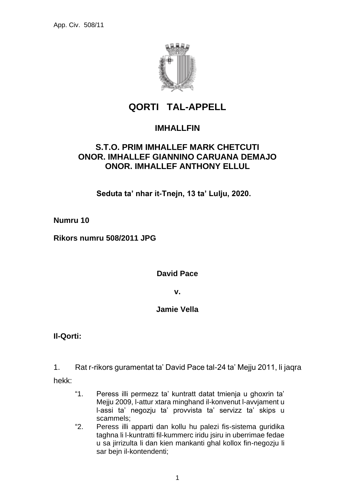

# **QORTI TAL-APPELL**

## **IMHALLFIN**

## **S.T.O. PRIM IMHALLEF MARK CHETCUTI ONOR. IMHALLEF GIANNINO CARUANA DEMAJO ONOR. IMHALLEF ANTHONY ELLUL**

**Seduta ta' nhar it-Tnejn, 13 ta' Lulju, 2020.**

**Numru 10**

**Rikors numru 508/2011 JPG**

**David Pace**

**v.**

### **Jamie Vella**

**Il-Qorti:**

1. Rat r-rikors guramentat ta' David Pace tal-24 ta' Mejju 2011, li jaqra hekk:

- "1. Peress illi permezz ta' kuntratt datat tmienja u ghoxrin ta' Mejju 2009, l-attur xtara minghand il-konvenut l-avvjament u l-assi ta' negozju ta' provvista ta' servizz ta' skips u scammels;
- "2. Peress illi apparti dan kollu hu palezi fis-sistema guridika taghna li l-kuntratti fil-kummerc iridu jsiru in uberrimae fedae u sa jirrizulta li dan kien mankanti ghal kollox fin-negozju li sar bejn il-kontendenti;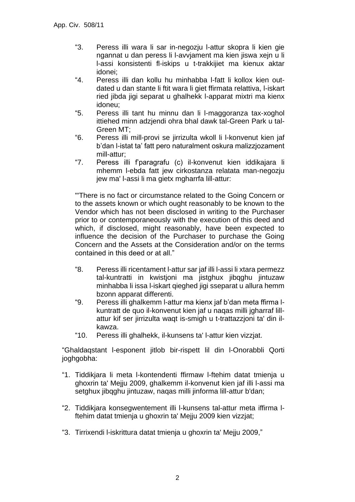- "3. Peress illi wara li sar in-negozju l-attur skopra li kien gie ngannat u dan peress li l-avvjament ma kien jiswa xejn u li l-assi konsistenti fl-iskips u t-trakkijiet ma kienux aktar idonei;
- "4. Peress illi dan kollu hu minhabba l-fatt li kollox kien outdated u dan stante li ftit wara li giet ffirmata relattiva, l-iskart ried jibda jigi separat u ghalhekk l-apparat mixtri ma kienx idoneu;
- "5. Peress illi tant hu minnu dan li l-maggoranza tax-xoghol ittiehed minn adzjendi ohra bhal dawk tal-Green Park u tal-Green MT;
- "6. Peress illi mill-provi se jirrizulta wkoll li l-konvenut kien jaf b'dan l-istat ta' fatt pero naturalment oskura malizzjozament mill-attur;
- "7. Peress illi f'paragrafu (c) il-konvenut kien iddikajara li mhemm l-ebda fatt jew cirkostanza relatata man-negozju jew ma' l-assi li ma gietx mgharrfa lill-attur:

"'There is no fact or circumstance related to the Going Concern or to the assets known or which ought reasonably to be known to the Vendor which has not been disclosed in writing to the Purchaser prior to or contemporaneously with the execution of this deed and which, if disclosed, might reasonably, have been expected to influence the decision of the Purchaser to purchase the Going Concern and the Assets at the Consideration and/or on the terms contained in this deed or at all."

- "8. Peress illi ricentament l-attur sar jaf illi l-assi li xtara permezz tal-kuntratti in kwistjoni ma jistghux jibqghu jintuzaw minhabba li issa l-iskart qieghed jigi sseparat u allura hemm bzonn apparat differenti.
- "9. Peress illi ghalkemm l-attur ma kienx jaf b'dan meta ffirma lkuntratt de quo il-konvenut kien jaf u naqas milli jgharraf lillattur kif ser jirrizulta waqt is-smigh u t-trattazzjoni ta' din ilkawza.
- "10. Peress illi ghalhekk, il-kunsens ta' l-attur kien vizzjat.

"Ghaldaqstant l-esponent jitlob bir-rispett lil din l-Onorabbli Qorti joghgobha:

- "1. Tiddikjara li meta l-kontendenti ffirmaw l-ftehim datat tmienja u ghoxrin ta' Mejju 2009, ghalkemm il-konvenut kien jaf illi l-assi ma setghux jibqghu jintuzaw, naqas milli jinforma lill-attur b'dan;
- "2. Tiddikjara konsegwentement illi l-kunsens tal-attur meta iffirma lftehim datat tmienja u ghoxrin ta' Mejju 2009 kien vizzjat;
- "3. Tirrixendi l-iskrittura datat tmienja u ghoxrin ta' Mejju 2009,"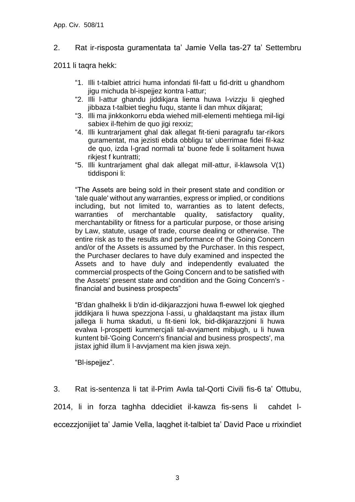### 2. Rat ir-risposta guramentata ta' Jamie Vella tas-27 ta' Settembru

2011 li taqra hekk:

- "1. Illi t-talbiet attrici huma infondati fil-fatt u fid-dritt u ghandhom jigu michuda bl-ispejjez kontra l-attur;
- "2. Illi l-attur ghandu jiddikjara liema huwa l-vizzju li qieghed jibbaza t-talbiet tieghu fuqu, stante li dan mhux dikjarat;
- "3. Illi ma jinkkonkorru ebda wiehed mill-elementi mehtiega mil-ligi sabiex il-ftehim de quo jigi rexxiz;
- "4. Illi kuntrarjament ghal dak allegat fit-tieni paragrafu tar-rikors guramentat, ma jezisti ebda obbligu ta' uberrimae fidei fil-kaz de quo, izda l-grad normali ta' buone fede li solitament huwa rikiest f kuntratti:
- "5. Illi kuntrarjament ghal dak allegat mill-attur, il-klawsola V(1) tiddisponi li:

"The Assets are being sold in their present state and condition or 'tale quale' without any warranties, express or implied, or conditions including, but not limited to, warranties as to latent defects, warranties of merchantable quality, satisfactory quality, merchantability or fitness for a particular purpose, or those arising by Law, statute, usage of trade, course dealing or otherwise. The entire risk as to the results and performance of the Going Concern and/or of the Assets is assumed by the Purchaser. In this respect, the Purchaser declares to have duly examined and inspected the Assets and to have duly and independently evaluated the commercial prospects of the Going Concern and to be satisfied with the Assets' present state and condition and the Going Concern's financial and business prospects"

"B'dan ghalhekk li b'din id-dikjarazzjoni huwa fl-ewwel lok qieghed jiddikjara li huwa spezzjona l-assi, u ghaldaqstant ma jistax illum jallega li huma skaduti, u fit-tieni lok, bid-dikjarazzjoni li huwa evalwa l-prospetti kummercjali tal-avvjament mibjugh, u li huwa kuntent bil-'Going Concern's financial and business prospects', ma jistax jghid illum li l-avvjament ma kien jiswa xejn.

"Bl-ispejjez".

3. Rat is-sentenza li tat il-Prim Awla tal-Qorti Civili fis-6 ta' Ottubu,

2014, li in forza taghha ddecidiet il-kawza fis-sens li cahdet leccezzjonijiet ta' Jamie Vella, laqghet it-talbiet ta' David Pace u rrixindiet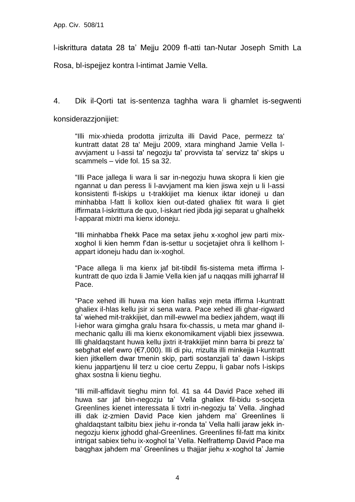l-iskrittura datata 28 ta' Mejju 2009 fl-atti tan-Nutar Joseph Smith La

Rosa, bl-ispejjez kontra l-intimat Jamie Vella.

4. Dik il-Qorti tat is-sentenza taghha wara li ghamlet is-segwenti

konsiderazzjonijiet:

"Illi mix-xhieda prodotta jirrizulta illi David Pace, permezz ta' kuntratt datat 28 ta' Mejju 2009, xtara minghand Jamie Vella lavvjament u l-assi ta' negozju ta' provvista ta' servizz ta' skips u scammels – vide fol. 15 sa 32.

"Illi Pace jallega li wara li sar in-negozju huwa skopra li kien gie ngannat u dan peress li l-avvjament ma kien jiswa xejn u li l-assi konsistenti fl-iskips u t-trakkijiet ma kienux iktar idoneji u dan minhabba l-fatt li kollox kien out-dated ghaliex ftit wara li giet iffirmata l-iskrittura de quo, l-iskart ried jibda jigi separat u ghalhekk l-apparat mixtri ma kienx idoneju.

"Illi minhabba f'hekk Pace ma setax jiehu x-xoghol jew parti mixxoghol li kien hemm f'dan is-settur u socjetajiet ohra li kellhom lappart idoneju hadu dan ix-xoghol.

"Pace allega li ma kienx jaf bit-tibdil fis-sistema meta iffirma lkuntratt de quo izda li Jamie Vella kien jaf u naqqas milli jgharraf lil Pace.

"Pace xehed illi huwa ma kien hallas xejn meta iffirma l-kuntratt ghaliex il-hlas kellu jsir xi sena wara. Pace xehed illi ghar-rigward ta' wiehed mit-trakkijiet, dan mill-ewwel ma bediex jahdem, waqt illi l-iehor wara gimgha gralu hsara fix-chassis, u meta mar ghand ilmechanic qallu illi ma kienx ekonomikament vijabli biex jissewwa. Illi ghaldaqstant huwa kellu jixtri it-trakkijiet minn barra bi prezz ta' sebghat elef ewro (€7,000). Illi di piu, rrizulta illi minkejja l-kuntratt kien jitkellem dwar tmenin skip, parti sostanzjali ta' dawn l-iskips kienu jappartjenu lil terz u cioe certu Zeppu, li gabar nofs l-iskips ghax sostna li kienu tieghu.

"Illi mill-affidavit tieghu minn fol. 41 sa 44 David Pace xehed illi huwa sar jaf bin-negozju ta' Vella ghaliex fil-bidu s-socjeta Greenlines kienet interessata li tixtri in-negozju ta' Vella. Jinghad illi dak iz-zmien David Pace kien jahdem ma' Greenlines li ghaldaqstant talbitu biex jiehu ir-ronda ta' Vella halli jaraw jekk innegozju kienx jghodd ghal-Greenlines. Greenlines fil-fatt ma kinitx intrigat sabiex tiehu ix-xoghol ta' Vella. Nelfrattemp David Pace ma baqghax jahdem ma' Greenlines u thajjar jiehu x-xoghol ta' Jamie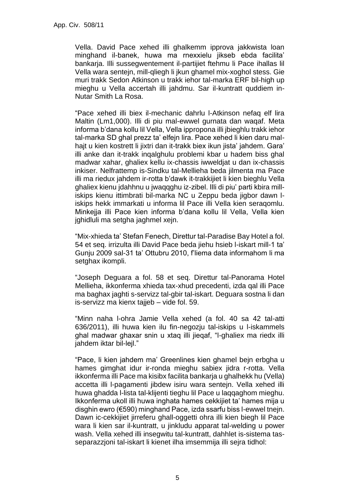Vella. David Pace xehed illi ghalkemm ipprova jakkwista loan minghand il-banek, huwa ma rnexxielu jikseb ebda facilita' bankarja. Illi sussegwentement il-partijiet ftehmu li Pace ihallas lil Vella wara sentejn, mill-qliegh li jkun ghamel mix-xoghol stess. Gie muri trakk Sedon Atkinson u trakk iehor tal-marka ERF bil-high up mieghu u Vella accertah illi jahdmu. Sar il-kuntratt quddiem in-Nutar Smith La Rosa.

"Pace xehed illi biex il-mechanic dahrlu l-Atkinson nefaq elf lira Maltin (Lm1,000). Illi di piu mal-ewwel gurnata dan waqaf. Meta informa b'dana kollu lil Vella, Vella ippropona illi jbieghlu trakk iehor tal-marka SD ghal prezz ta' elfejn lira. Pace xehed li kien daru malhajt u kien kostrett li jixtri dan it-trakk biex ikun jista' jahdem. Gara' illi anke dan it-trakk inqalghulu problemi kbar u hadem biss ghal madwar xahar, ghaliex kellu ix-chassis iwweldjat u dan ix-chassis inkiser. Nelfrattemp is-Sindku tal-Mellieha beda jilmenta ma Pace illi ma riedux jahdem ir-rotta b'dawk it-trakkijiet li kien bieghlu Vella ghaliex kienu jdahhnu u jwaqqghu iz-zibel. Illi di piu' parti kbira milliskips kienu ittimbrati bil-marka NC u Zeppu beda jigbor dawn liskips hekk immarkati u informa lil Pace illi Vella kien seraqomlu. Minkejja illi Pace kien informa b'dana kollu lil Vella, Vella kien jghidluli ma setgha jaghmel xejn.

"Mix-xhieda ta' Stefan Fenech, Direttur tal-Paradise Bay Hotel a fol. 54 et seq. irrizulta illi David Pace beda jiehu hsieb l-iskart mill-1 ta' Gunju 2009 sal-31 ta' Ottubru 2010, f'liema data informahom li ma setghax ikompli.

"Joseph Deguara a fol. 58 et seq. Direttur tal-Panorama Hotel Mellieha, ikkonferma xhieda tax-xhud precedenti, izda qal illi Pace ma baghax jaghti s-servizz tal-gbir tal-iskart. Deguara sostna li dan is-servizz ma kienx tajjeb – vide fol. 59.

"Minn naha l-ohra Jamie Vella xehed (a fol. 40 sa 42 tal-atti 636/2011), illi huwa kien ilu fin-negozju tal-iskips u l-iskammels ghal madwar ghaxar snin u xtaq illi jieqaf, "l-ghaliex ma riedx illi jahdem iktar bil-lejl."

"Pace, li kien jahdem ma' Greenlines kien ghamel bejn erbgha u hames gimghat idur ir-ronda mieghu sabiex jidra r-rotta. Vella ikkonferma illi Pace ma kisibx facilita bankarja u ghalhekk hu (Vella) accetta illi l-pagamenti jibdew isiru wara sentejn. Vella xehed illi huwa ghadda l-lista tal-klijenti tieghu lil Pace u laqqaghom mieghu. Ikkonferma ukoll illi huwa inghata hames cekkijiet ta' hames mija u disghin ewro (€590) minghand Pace, izda ssarfu biss l-ewwel tnejn. Dawn ic-cekkijiet jirreferu ghall-oggetti ohra illi kien biegh lil Pace wara li kien sar il-kuntratt, u jinkludu apparat tal-welding u power wash. Vella xehed illi insegwitu tal-kuntratt, dahhlet is-sistema tasseparazzjoni tal-iskart li kienet ilha imsemmija illi sejra tidhol: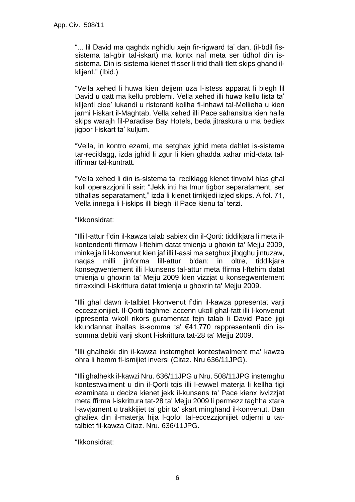"... lil David ma qaghdx nghidlu xejn fir-rigward ta' dan, (il-bdil fissistema tal-gbir tal-iskart) ma kontx naf meta ser tidhol din issistema. Din is-sistema kienet tfisser li trid thalli tlett skips ghand ilklijent." (Ibid.)

"Vella xehed li huwa kien dejjem uza l-istess apparat li biegh lil David u qatt ma kellu problemi. Vella xehed illi huwa kellu lista ta' klijenti cioe' lukandi u ristoranti kollha fl-inhawi tal-Mellieha u kien jarmi l-iskart il-Maghtab. Vella xehed illi Pace sahansitra kien halla skips warajh fil-Paradise Bay Hotels, beda jitraskura u ma bediex jigbor l-iskart ta' kuljum.

"Vella, in kontro ezami, ma setghax jghid meta dahlet is-sistema tar-reciklagg, izda jghid li zgur li kien ghadda xahar mid-data taliffirmar tal-kuntratt.

"Vella xehed li din is-sistema ta' reciklagg kienet tinvolvi hlas ghal kull operazzjoni li ssir: "Jekk inti ha tmur tigbor separatament, ser tithallas separatament," izda li kienet tirrikjedi izjed skips. A fol. 71, Vella innega li l-iskips illi biegh lil Pace kienu ta' terzi.

#### "Ikkonsidrat:

"Illi l-attur f'din il-kawza talab sabiex din il-Qorti: tiddikjara li meta ilkontendenti ffirmaw l-ftehim datat tmienja u ghoxin ta' Mejju 2009, minkejja li l-konvenut kien jaf illi l-assi ma setghux jibqghu jintuzaw, naqas milli jinforma lill-attur b'dan: in oltre, tiddikjara konsegwentement illi l-kunsens tal-attur meta ffirma l-ftehim datat tmienja u ghoxrin ta' Mejju 2009 kien vizzjat u konsegwentement tirrexxindi l-iskrittura datat tmienja u ghoxrin ta' Mejju 2009.

"Illi ghal dawn it-talbiet l-konvenut f'din il-kawza ppresentat varji eccezzjonijiet. Il-Qorti taghmel accenn ukoll ghal-fatt illi l-konvenut ippresenta wkoll rikors guramentat fejn talab li David Pace jigi kkundannat ihallas is-somma ta' €41,770 rappresentanti din issomma debiti varji skont l-iskrittura tat-28 ta' Mejju 2009.

"Illi ghalhekk din il-kawza instemghet kontestwalment ma' kawza ohra li hemm fl-ismijiet inversi (Citaz. Nru 636/11JPG).

"Illi ghalhekk il-kawzi Nru. 636/11JPG u Nru. 508/11JPG instemghu kontestwalment u din il-Qorti tqis illi l-ewwel materja li kellha tigi ezaminata u deciza kienet jekk il-kunsens ta' Pace kienx ivvizzjat meta ffirma l-iskrittura tat-28 ta' Mejju 2009 li permezz taghha xtara l-avvjament u trakkijiet ta' gbir ta' skart minghand il-konvenut. Dan ghaliex din il-materja hija l-qofol tal-eccezzjonijiet odjerni u tattalbiet fil-kawza Citaz. Nru. 636/11JPG.

"Ikkonsidrat: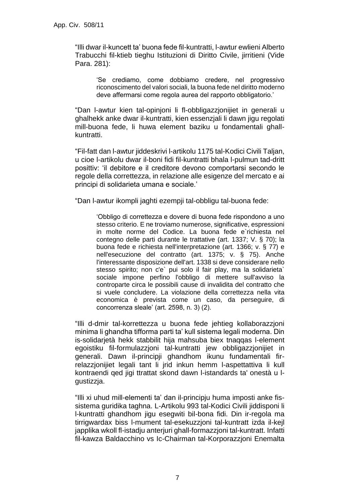"Illi dwar il-kuncett ta' buona fede fil-kuntratti, l-awtur ewlieni Alberto Trabucchi fil-ktieb tieghu Istituzioni di Diritto Civile, jirritieni (Vide Para. 281):

> 'Se crediamo, come dobbiamo credere, nel progressivo riconoscimento del valori sociali, la buona fede nel diritto moderno deve affermarsi come regola aurea del rapporto obbligatorio.'

"Dan l-awtur kien tal-opinjoni li fl-obbligazzjonijiet in generali u ghalhekk anke dwar il-kuntratti, kien essenzjali li dawn jigu regolati mill-buona fede, li huwa element baziku u fondamentali ghallkuntratti.

"Fil-fatt dan l-awtur jiddeskrivi l-artikolu 1175 tal-Kodici Civili Taljan, u cioe l-artikolu dwar il-boni fidi fil-kuntratti bhala l-pulmun tad-dritt posittiv: 'il debitore e il creditore devono comportarsi secondo le regole della correttezza, in relazione alle esigenze del mercato e ai principi di solidarieta umana e sociale.'

"Dan l-awtur ikompli jaghti ezempji tal-obbligu tal-buona fede:

'Obbligo di correttezza e dovere di buona fede rispondono a uno stesso criterio. E ne troviamo numerose, significative, espressioni in molte norme del Codice. La buona fede e`richiesta nel contegno delle parti durante le trattative (art. 1337; V. § 70); la buona fede e richiesta nell'interpretazione (art. 1366; v. § 77) e nell'esecuzione del contratto (art. 1375; v. § 75). Anche l'interessante disposizione dell'art. 1338 si deve considerare nello stesso spirito; non c'e` pui solo il fair play, ma la solidarieta` sociale impone perfino l'obbligo di mettere sull'avviso la controparte circa le possibili cause di invalidita del contratto che si vuele concludere. La violazione della correttezza nella vita economica è prevista come un caso, da perseguire, di concorrenza sleale' (art. 2598, n. 3) (2).

"Illi d-dmir tal-korrettezza u buona fede jehtieg kollaborazzjoni minima li ghandha tifforma parti ta' kull sistema legali moderna. Din is-solidarjetà hekk stabbilit hija mahsuba biex tnaqqas l-element egoistiku fil-formulazzjoni tal-kuntratti jew obbligazzjonijiet in generali. Dawn il-principji ghandhom ikunu fundamentali firrelazzjonijiet legali tant li jrid inkun hemm l-aspettattiva li kull kontraendi qed jigi ttrattat skond dawn l-istandards ta' onestà u lgustizzja.

"Illi xi uhud mill-elementi ta' dan il-principju huma imposti anke fissistema guridika taghna. L-Artikolu 993 tal-Kodici Civili jiddisponi li l-kuntratti ghandhom jigu esegwiti bil-bona fidi. Din ir-regola ma tirrigwardax biss l-mument tal-esekuzzjoni tal-kuntratt izda il-kejl japplika wkoll fl-istadju anterjuri ghall-formazzjoni tal-kuntratt. Infatti fil-kawza Baldacchino vs Ic-Chairman tal-Korporazzjoni Enemalta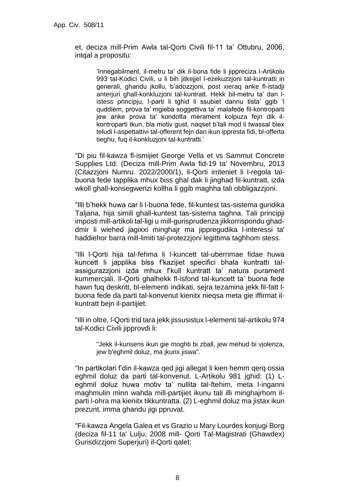et, deciza mill-Prim Awla tal-Qorti Civili fil-11 ta' Ottubru, 2006, intqal a propositu:

'Innegabilment, il-metru ta' dik il-bona fide li jippreciza l-Artikolu 993 tal-Kodici Civili, u li bih jitkejjel l-ezekuzzjoni tal-kuntratti in generali, ghandu jkollu, b'adozzjoni, post xieraq anke fl-istadji anterjuri ghall-konkluzjoni tal-kuntratt. Hekk bil-metru ta' dan listess principju, l-parti li tghid li ssubiet dannu tista' ggib 'l quddiem, prova ta' mgieba soggettiva ta' malafede fil-kontroparti jew anke prova ta' kondotta merament kolpuza fejn dik ilkontroparti tkun, bla motiv gust, naqset b'tali mod li twassal biex teludi l-aspettattivi tal-offerent fejn dan ikun ippresta fidi, bl-offerta tieghu, fuq il-konkluzjoni tal-kuntratti.'

"Di piu fil-kawza fl-ismijiet George Vella et vs Sammut Concrete Supplies Ltd. (Deciza mill-Prim Awla fid-19 ta' Novembru, 2013 (Citazzjoni Numru. 2022/2000/1), il-Qorti irriteniet li l-regola talbuona fede tapplika mhux biss ghal dak li jinghad fil-kuntratt, izda wkoll ghall-konsegwenzi kollha li ggib maghha tali obbligazzjoni.

"Illi b'hekk huwa car li l-buona fede, fil-kuntest tas-sistema guridika Taljana, hija simili ghall-kuntest tas-sistema taghna. Tali principji imposti mill-artikoli tal-ligi u mill-gurisprudenza jikkorrispondu ghaddmir li wiehed jagixxi minghajr ma jippregudika l-interessi ta' haddiehor barra mill-limiti tal-protezzjoni legittima taghhom stess.

"Illi l-Qorti hija tal-fehma li l-kuncett tal-uberrimae fidae huwa kuncett li japplika biss f'kazijiet specifici bhala kuntratti talassigurazzjoni izda mhux f'kull kuntratt ta' natura purament kummercjali. Il-Qorti ghalhekk fl-isfond tal-kuncett ta' buona fede hawn fuq deskritt, bl-elementi indikati, sejra tezamina jekk fil-fatt lbuona fede da parti tal-konvenut kienitx nieqsa meta gie iffirmat ilkuntratt bejn il-partijiet.

"Illi in oltre, l-Qorti trid tara jekk jissusistux l-elementi tal-artikolu 974 tal-Kodici Civili jipprovdi li:

"Jekk il-kunsens ikun gie moghti bi zball, jew mehud bi vjolenza, jew b'eghmil doluz, ma jkunx jiswa".

"In partikolari f'din il-kawza qed jigi allegat li kien hemm qerq ossia eghmil doluz da parti tal-konvenut. L-Artikolu 981 jghid: (1) Leghmil doluz huwa motiv ta' nullita tal-ftehim, meta l-inganni maghmulin minn wahda mill-partijiet ikunu tali illi minghajrhom ilparti l-ohra ma kienitx tikkuntratta. (2) L-eghmil doluz ma jistax ikun prezunt, imma ghandu jigi ppruvat.

"Fil-kawza Angela Galea et vs Grazio u Mary Lourdes konjugi Borg (deciza fil-11 ta' Lulju, 2008 mill- Qorti Tal-Magistrati (Ghawdex) Gurisdizzjoni Superjuri) il-Qorti qalet: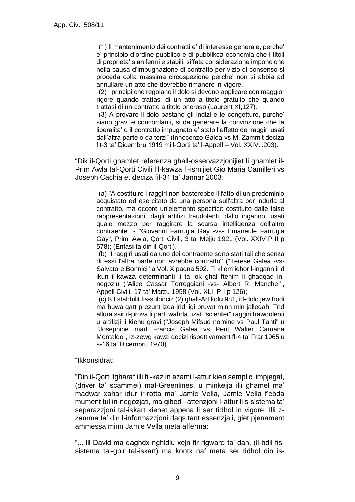"(1) Il mantenimento dei contratti e' di interesse generale, perche' e' principio d'ordine pubblico e di pubblikca economia che i titoli di proprieta' sian fermi e stabili: siffata considerazione impone che nella causa d'impugnazione di contratto per vizio di consenso si proceda colla massima circospezione perche' non si abbia ad annullare un atto che dovrebbe rimanere in vigore.

"(2) I principi che regolano il dolo si devono applicare con maggior rigore quando trattasi di un atto a titolo gratuito che quando trattasi di un contratto a titolo oneroso (Laurent XI,127).

"(3) A provare il dolo bastano gli indizi e le congetture, purche' siano gravi e concordanti, si da generare la convinzione che la liberalita' o il contratto impugnato e' stato l'effetto dei raggiri usati dall'altra parte o da terzi" (Innocenzo Galea vs M. Zammit deciza fit-3 ta' Dicembru 1919 mill-Qorti ta' l-Appell – Vol. XXIV.i.203).

"Dik il-Qorti ghamlet referenza ghall-osservazzjonijiet li ghamlet il-Prim Awla tal-Qorti Civili fil-kawza fl-ismijiet Gio Maria Camilleri vs Joseph Cachia et deciza fil-31 ta' Jannar 2003:

"(a) "A costituire i raggiri non basterebbe il fatto di un predominio acquistato ed esercitato da una persona sull'altra per indurla al contratto, ma occore un'elemento specifico costituito dalle false rappresentazioni, dagli artifizi fraudolenti, dallo inganno, usati quale mezzo per raggirare la scarsa intelligenza dell'altro contraente" - "Giovanni Farrugia Gay -vs- Emaneule Farrugia Gay", Prim' Awla, Qorti Civili, 3 ta' Meiju 1921 (Vol. XXIV P II p 578); (Enfasi ta din il-Qorti).

"(b) "I raggiri usati da uno dei contraente sono stati tali che senza di essi l'altra parte non avrebbe contratto" ("Terese Galea -vs-Salvatore Bonnici" a Vol. X pagna 592. Fi kliem iehor l-ingann irid ikun il-kawza determinanti li ta lok ghal ftehim li ghaqqad innegozju ("Alice Cassar Torreggiani -vs- Albert R. Manche`", Appell Civili, 17 ta' Marzu 1958 (Vol. XLII P I p 126);

"(c) Kif stabbilit fis-subinciz (2) ghall-Artikolu 981, id-dolo jew frodi ma huwa qatt prezunt izda jrid jigi pruvat minn min jallegah. Trid allura ssir il-prova li parti wahda uzat "scienter" raggiri frawdolenti u artifizji li kienu gravi ("Joseph Mifsud nomine vs Paul Tanti" u "Josephine mart Francis Galea vs Perit Walter Caruana Montaldo", iz-zewg kawzi decizi rispettivament fl-4 ta' Frar 1965 u s-16 ta' Dicembru 1970)".

"Ikkonsidrat:

"Din il-Qorti tgharaf illi fil-kaz in ezami l-attur kien semplici impjegat, (driver ta' scammel) mal-Greenlines, u minkejja illi ghamel ma' madwar xahar idur ir-rotta ma' Jamie Vella, Jamie Vella f'ebda mument tul in-negozjati, ma gibed l-attenzjoni l-attur li s-sistema ta' separazzjoni tal-iskart kienet appena li ser tidhol in vigore. Illi zzamma ta' din l-informazzjoni daqs tant essenzjali, giet pjenament ammessa minn Jamie Vella meta afferma:

"... lil David ma qaghdx nghidlu xejn fir-rigward ta' dan, (il-bdil fissistema tal-gbir tal-iskart) ma kontx naf meta ser tidhol din is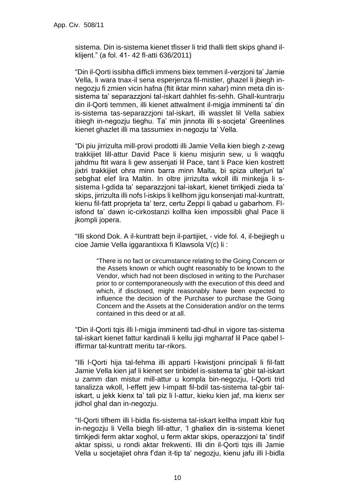sistema. Din is-sistema kienet tfisser li trid thalli tlett skips ghand ilklijent." (a fol. 41- 42 fl-atti 636/2011)

"Din il-Qorti issibha difficli immens biex temmen il-verzjoni ta' Jamie Vella, li wara tnax-il sena esperjenza fil-mistier, ghazel li jbiegh innegozju fi zmien vicin hafna (ftit iktar minn xahar) minn meta din issistema ta' separazzjoni tal-iskart dahhlet fis-sehh. Ghall-kuntrarju din il-Qorti temmen, illi kienet attwalment il-migja imminenti ta' din is-sistema tas-separazzjoni tal-iskart, illi wasslet lil Vella sabiex ibiegh in-negozju tieghu. Ta' min jinnota illi s-socjeta' Greenlines kienet ghazlet illi ma tassumiex in-negozju ta' Vella.

"Di piu jirrizulta mill-provi prodotti illi Jamie Vella kien biegh z-zewg trakkijiet lill-attur David Pace li kienu misjurin sew, u li waqqfu jahdmu ftit wara li gew assenjati lil Pace, tant li Pace kien kostrett jixtri trakkijiet ohra minn barra minn Malta, bi spiza ulterjuri ta' sebghat elef lira Maltin. In oltre jirrizulta wkoll illi minkejja li ssistema l-gdida ta' separazzjoni tal-iskart, kienet tirrikjedi zieda ta' skips, jirrizulta illi nofs l-iskips li kellhom jigu konsenjati mal-kuntratt, kienu fil-fatt proprjeta ta' terz, certu Zeppi li qabad u gabarhom. Flisfond ta' dawn ic-cirkostanzi kollha kien impossibli ghal Pace li jkompli jopera.

"Illi skond Dok. A il-kuntratt bejn il-partijiet, - vide fol. 4, il-bejjiegh u cioe Jamie Vella iggarantixxa fi Klawsola V(c) li :

"There is no fact or circumstance relating to the Going Concern or the Assets known or which ought reasonably to be known to the Vendor, which had not been disclosed in writing to the Purchaser prior to or contemporaneously with the execution of this deed and which, if disclosed, might reasonably have been expected to influence the decision of the Purchaser to purchase the Going Concern and the Assets at the Consideration and/or on the terms contained in this deed or at all.

"Din il-Qorti tqis illi l-migja imminenti tad-dhul in vigore tas-sistema tal-iskart kienet fattur kardinali li kellu jigi mgharraf lil Pace qabel liffirmar tal-kuntratt meritu tar-rikors.

"Illi l-Qorti hija tal-fehma illi apparti l-kwistjoni principali li fil-fatt Jamie Vella kien jaf li kienet ser tinbidel is-sistema ta' gbir tal-iskart u zamm dan mistur mill-attur u kompla bin-negozju, l-Qorti trid tanalizza wkoll, l-effett jew l-impatt fil-bdil tas-sistema tal-gbir taliskart, u jekk kienx ta' tali piz li l-attur, kieku kien jaf, ma kienx ser jidhol ghal dan in-negozju.

"Il-Qorti tifhem illi l-bidla fis-sistema tal-iskart kellha impatt kbir fuq in-negozju li Vella biegh lill-attur, 'l ghaliex din is-sistema kienet tirrikjedi ferm aktar xoghol, u ferm aktar skips, operazzjoni ta' tindif aktar spissi, u rondi aktar frekwenti. Illi din il-Qorti tqis illi Jamie Vella u socjetajiet ohra f'dan it-tip ta' negozju, kienu jafu illi l-bidla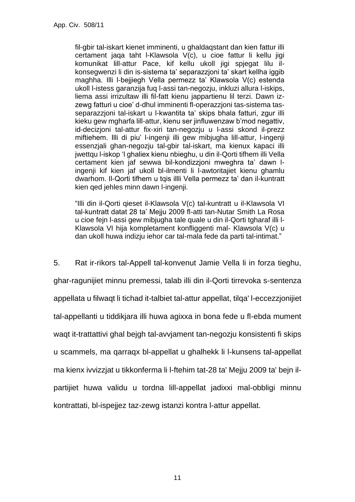fil-gbir tal-iskart kienet imminenti, u ghaldaqstant dan kien fattur illi certament jaqa taht l-Klawsola V(c), u cioe fattur li kellu jigi komunikat lill-attur Pace, kif kellu ukoll jigi spjegat lilu ilkonsegwenzi li din is-sistema ta' separazzjoni ta' skart kellha iggib maghha. Illi l-bejjiegh Vella permezz ta' Klawsola V(c) estenda ukoll l-istess garanzija fuq l-assi tan-negozju, inkluzi allura l-iskips, liema assi irrizultaw illi fil-fatt kienu jappartienu lil terzi. Dawn izzewg fatturi u cioe' d-dhul imminenti fl-operazzjoni tas-sistema tasseparazzjoni tal-iskart u l-kwantita ta' skips bhala fatturi, zgur illi kieku gew mgharfa lill-attur, kienu ser jinfluwenzaw b'mod negattiv, id-decizjoni tal-attur fix-xiri tan-negozju u l-assi skond il-prezz miftiehem. Illi di piu' l-ingenji illi gew mibjugha lill-attur, l-ingenji essenzjali ghan-negozju tal-gbir tal-iskart, ma kienux kapaci illi jwettqu l-iskop 'l ghaliex kienu nbieghu, u din il-Qorti tifhem illi Vella certament kien jaf sewwa bil-kondizzjoni mweghra ta' dawn lingenji kif kien jaf ukoll bl-ilmenti li l-awtoritajiet kienu ghamlu dwarhom. Il-Qorti tifhem u tqis illli Vella permezz ta' dan il-kuntratt kien qed jehles minn dawn l-ingenji.

"Illi din il-Qorti qieset il-Klawsola V(c) tal-kuntratt u il-Klawsola VI tal-kuntratt datat 28 ta' Mejju 2009 fl-atti tan-Nutar Smith La Rosa u cioe fejn l-assi gew mibjugha tale quale u din il-Qorti tgharaf illi l-Klawsola VI hija kompletament konfliggenti mal- Klawsola V(c) u dan ukoll huwa indizju iehor car tal-mala fede da parti tal-intimat."

5. Rat ir-rikors tal-Appell tal-konvenut Jamie Vella li in forza tieghu, ghar-ragunijiet minnu premessi, talab illi din il-Qorti tirrevoka s-sentenza appellata u filwaqt li tichad it-talbiet tal-attur appellat, tilqa' l-eccezzjonijiet tal-appellanti u tiddikjara illi huwa agixxa in bona fede u fl-ebda mument waqt it-trattattivi ghal bejgh tal-avvjament tan-negozju konsistenti fi skips u scammels, ma qarraqx bl-appellat u ghalhekk li l-kunsens tal-appellat ma kienx ivvizzjat u tikkonferma li l-ftehim tat-28 ta' Mejju 2009 ta' bejn ilpartijiet huwa validu u tordna lill-appellat jadixxi mal-obbligi minnu kontrattati, bl-ispejjez taz-zewg istanzi kontra l-attur appellat.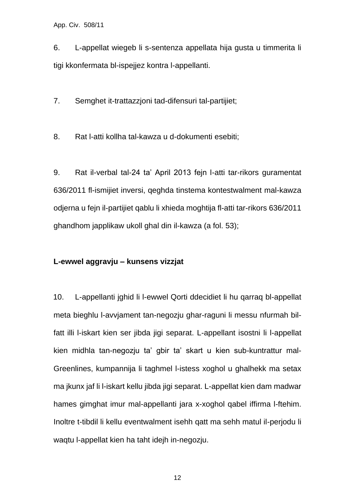6. L-appellat wiegeb li s-sentenza appellata hija gusta u timmerita li tigi kkonfermata bl-ispejjez kontra l-appellanti.

7. Semghet it-trattazzjoni tad-difensuri tal-partijiet;

8. Rat l-atti kollha tal-kawza u d-dokumenti esebiti;

9. Rat il-verbal tal-24 ta' April 2013 fejn l-atti tar-rikors guramentat 636/2011 fl-ismijiet inversi, qeghda tinstema kontestwalment mal-kawza odjerna u fejn il-partijiet qablu li xhieda moghtija fl-atti tar-rikors 636/2011 ghandhom japplikaw ukoll ghal din il-kawza (a fol. 53);

#### **L-ewwel aggravju – kunsens vizzjat**

10. L-appellanti jghid li l-ewwel Qorti ddecidiet li hu qarraq bl-appellat meta bieghlu l-avvjament tan-negozju ghar-raguni li messu nfurmah bilfatt illi l-iskart kien ser jibda jigi separat. L-appellant isostni li l-appellat kien midhla tan-negozju ta' gbir ta' skart u kien sub-kuntrattur mal-Greenlines, kumpannija li taghmel l-istess xoghol u ghalhekk ma setax ma jkunx jaf li l-iskart kellu jibda jigi separat. L-appellat kien dam madwar hames gimghat imur mal-appellanti jara x-xoghol qabel iffirma l-ftehim. Inoltre t-tibdil li kellu eventwalment isehh qatt ma sehh matul il-perjodu li waqtu l-appellat kien ha taht idejh in-negozju.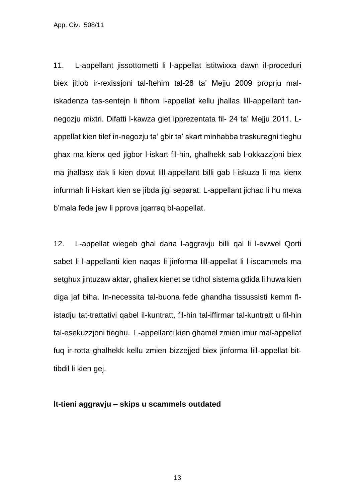11. L-appellant jissottometti li l-appellat istitwixxa dawn il-proceduri biex jitlob ir-rexissjoni tal-ftehim tal-28 ta' Mejju 2009 proprju maliskadenza tas-sentejn li fihom l-appellat kellu jhallas lill-appellant tannegozju mixtri. Difatti l-kawza giet ipprezentata fil- 24 ta' Mejju 2011. Lappellat kien tilef in-negozju ta' gbir ta' skart minhabba traskuragni tieghu ghax ma kienx qed jigbor l-iskart fil-hin, ghalhekk sab l-okkazzjoni biex ma jhallasx dak li kien dovut lill-appellant billi gab l-iskuza li ma kienx infurmah li l-iskart kien se jibda jigi separat. L-appellant jichad li hu mexa b'mala fede jew li pprova jqarraq bl-appellat.

12. L-appellat wiegeb ghal dana l-aggravju billi qal li l-ewwel Qorti sabet li l-appellanti kien naqas li jinforma lill-appellat li l-iscammels ma setghux jintuzaw aktar, ghaliex kienet se tidhol sistema gdida li huwa kien diga jaf biha. In-necessita tal-buona fede ghandha tissussisti kemm flistadju tat-trattativi qabel il-kuntratt, fil-hin tal-iffirmar tal-kuntratt u fil-hin tal-esekuzzjoni tieghu. L-appellanti kien ghamel zmien imur mal-appellat fuq ir-rotta ghalhekk kellu zmien bizzejjed biex jinforma lill-appellat bittibdil li kien gei.

#### **It-tieni aggravju – skips u scammels outdated**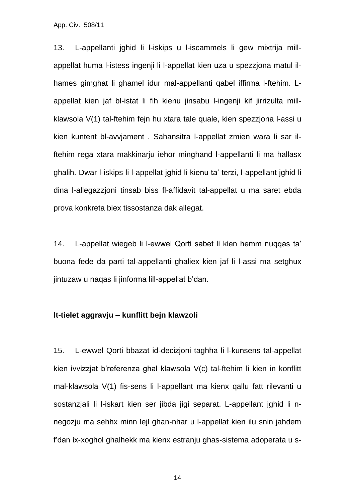13. L-appellanti jghid li l-iskips u l-iscammels li gew mixtrija millappellat huma l-istess ingenji li l-appellat kien uza u spezzjona matul ilhames gimghat li ghamel idur mal-appellanti qabel iffirma l-ftehim. Lappellat kien jaf bl-istat li fih kienu jinsabu l-ingenji kif jirrizulta millklawsola V(1) tal-ftehim fejn hu xtara tale quale, kien spezzjona l-assi u kien kuntent bl-avvjament . Sahansitra l-appellat zmien wara li sar ilftehim rega xtara makkinarju iehor minghand l-appellanti li ma hallasx ghalih. Dwar l-iskips li l-appellat jghid li kienu ta' terzi, l-appellant jghid li dina l-allegazzjoni tinsab biss fl-affidavit tal-appellat u ma saret ebda prova konkreta biex tissostanza dak allegat.

14. L-appellat wiegeb li l-ewwel Qorti sabet li kien hemm nuqqas ta' buona fede da parti tal-appellanti ghaliex kien jaf li l-assi ma setghux jintuzaw u naqas li jinforma lill-appellat b'dan.

#### **It-tielet aggravju – kunflitt bejn klawzoli**

15. L-ewwel Qorti bbazat id-decizjoni taghha li l-kunsens tal-appellat kien ivvizzjat b'referenza ghal klawsola V(c) tal-ftehim li kien in konflitt mal-klawsola V(1) fis-sens li l-appellant ma kienx qallu fatt rilevanti u sostanzjali li l-iskart kien ser jibda jigi separat. L-appellant jghid li nnegozju ma sehhx minn lejl ghan-nhar u l-appellat kien ilu snin jahdem f'dan ix-xoghol ghalhekk ma kienx estranju ghas-sistema adoperata u s-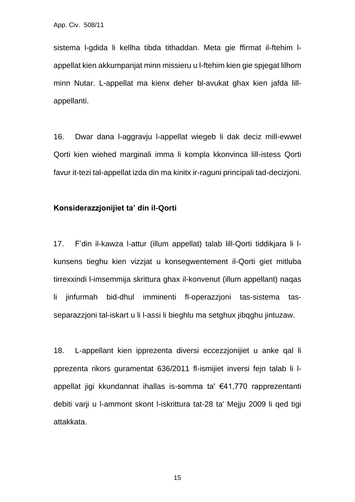sistema l-gdida li kellha tibda tithaddan. Meta gie ffirmat il-ftehim lappellat kien akkumpanjat minn missieru u l-ftehim kien gie spjegat lilhom minn Nutar. L-appellat ma kienx deher bl-avukat ghax kien jafda lillappellanti.

16. Dwar dana l-aggravju l-appellat wiegeb li dak deciz mill-ewwel Qorti kien wiehed marginali imma li kompla kkonvinca lill-istess Qorti favur it-tezi tal-appellat izda din ma kinitx ir-raguni principali tad-decizjoni.

### **Konsiderazzjonijiet ta' din il-Qorti**

17. F'din il-kawza l-attur (illum appellat) talab lill-Qorti tiddikjara li lkunsens tieghu kien vizzjat u konsegwentement il-Qorti giet mitluba tirrexxindi l-imsemmija skrittura ghax il-konvenut (illum appellant) naqas li jinfurmah bid-dhul imminenti fl-operazzjoni tas-sistema tasseparazzjoni tal-iskart u li l-assi li bieghlu ma setghux jibqghu jintuzaw.

18. L-appellant kien ipprezenta diversi eccezzjonijiet u anke qal li pprezenta rikors guramentat 636/2011 fl-ismijiet inversi fejn talab li lappellat jigi kkundannat ihallas is-somma ta' €41,770 rapprezentanti debiti varji u l-ammont skont l-iskrittura tat-28 ta' Mejju 2009 li qed tigi attakkata.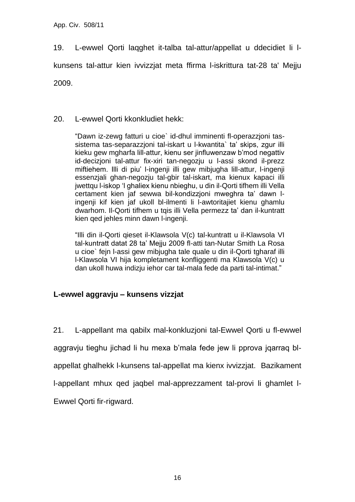19. L-ewwel Qorti laqghet it-talba tal-attur/appellat u ddecidiet li l-

kunsens tal-attur kien ivvizzjat meta ffirma l-iskrittura tat-28 ta' Mejju

2009.

## 20. L-ewwel Qorti kkonkludiet hekk:

"Dawn iz-zewg fatturi u cioe` id-dhul imminenti fl-operazzjoni tassistema tas-separazzjoni tal-iskart u l-kwantita` ta' skips, zgur illi kieku gew mgharfa lill-attur, kienu ser jinfluwenzaw b'mod negattiv id-decizjoni tal-attur fix-xiri tan-negozju u l-assi skond il-prezz miftiehem. Illi di piu' l-ingenji illi gew mibjugha lill-attur, l-ingenji essenzjali ghan-negozju tal-gbir tal-iskart, ma kienux kapaci illi jwettqu l-iskop 'l ghaliex kienu nbieghu, u din il-Qorti tifhem illi Vella certament kien jaf sewwa bil-kondizzjoni mweghra ta' dawn lingenji kif kien jaf ukoll bl-ilmenti li l-awtoritajiet kienu ghamlu dwarhom. Il-Qorti tifhem u tqis illi Vella permezz ta' dan il-kuntratt kien qed jehles minn dawn l-ingenji.

"Illi din il-Qorti qieset il-Klawsola V(c) tal-kuntratt u il-Klawsola VI tal-kuntratt datat 28 ta' Mejju 2009 fl-atti tan-Nutar Smith La Rosa u cioe` fejn l-assi gew mibjugha tale quale u din il-Qorti tgharaf illi l-Klawsola VI hija kompletament konfliggenti ma Klawsola V(c) u dan ukoll huwa indizju iehor car tal-mala fede da parti tal-intimat."

## **L-ewwel aggravju – kunsens vizzjat**

21. L-appellant ma qabilx mal-konkluzjoni tal-Ewwel Qorti u fl-ewwel aggravju tieghu jichad li hu mexa b'mala fede jew li pprova jqarraq blappellat ghalhekk l-kunsens tal-appellat ma kienx ivvizzjat. Bazikament l-appellant mhux qed jaqbel mal-apprezzament tal-provi li ghamlet l-Ewwel Qorti fir-rigward.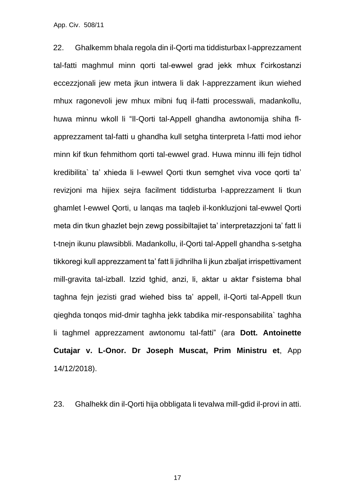22. Ghalkemm bhala regola din il-Qorti ma tiddisturbax l-apprezzament tal-fatti maghmul minn qorti tal-ewwel grad jekk mhux f'cirkostanzi eccezzjonali jew meta jkun intwera li dak l-apprezzament ikun wiehed mhux ragonevoli jew mhux mibni fuq il-fatti processwali, madankollu, huwa minnu wkoll li "Il-Qorti tal-Appell ghandha awtonomija shiha flapprezzament tal-fatti u ghandha kull setgha tinterpreta l-fatti mod iehor minn kif tkun fehmithom qorti tal-ewwel grad. Huwa minnu illi fejn tidhol kredibilita` ta' xhieda li l-ewwel Qorti tkun semghet viva voce qorti ta' revizjoni ma hijiex sejra facilment tiddisturba l-apprezzament li tkun ghamlet l-ewwel Qorti, u lanqas ma taqleb il-konkluzjoni tal-ewwel Qorti meta din tkun ghazlet bejn zewg possibiltajiet ta' interpretazzjoni ta' fatt li t-tnejn ikunu plawsibbli. Madankollu, il-Qorti tal-Appell ghandha s-setgha tikkoregi kull apprezzament ta' fatt li jidhrilha li jkun zbaljat irrispettivament mill-gravita tal-izball. Izzid tghid, anzi, li, aktar u aktar f'sistema bhal taghna fejn jezisti grad wiehed biss ta' appell, il-Qorti tal-Appell tkun qieghda tonqos mid-dmir taghha jekk tabdika mir-responsabilita` taghha li taghmel apprezzament awtonomu tal-fatti" (ara **Dott. Antoinette Cutajar v. L-Onor. Dr Joseph Muscat, Prim Ministru et**, App 14/12/2018).

23. Ghalhekk din il-Qorti hija obbligata li tevalwa mill-gdid il-provi in atti.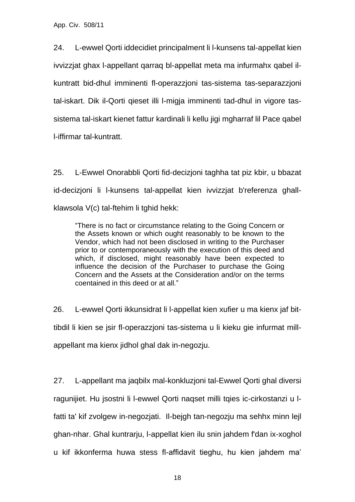24. L-ewwel Qorti iddecidiet principalment li l-kunsens tal-appellat kien ivvizzjat ghax l-appellant qarraq bl-appellat meta ma infurmahx qabel ilkuntratt bid-dhul imminenti fl-operazzjoni tas-sistema tas-separazzjoni tal-iskart. Dik il-Qorti qieset illi l-migja imminenti tad-dhul in vigore tassistema tal-iskart kienet fattur kardinali li kellu jigi mgharraf lil Pace qabel l-iffirmar tal-kuntratt.

25. L-Ewwel Onorabbli Qorti fid-decizjoni taghha tat piz kbir, u bbazat id-decizjoni li l-kunsens tal-appellat kien ivvizzjat b'referenza ghallklawsola V(c) tal-ftehim li tghid hekk:

"There is no fact or circumstance relating to the Going Concern or the Assets known or which ought reasonably to be known to the Vendor, which had not been disclosed in writing to the Purchaser prior to or contemporaneously with the execution of this deed and which, if disclosed, might reasonably have been expected to influence the decision of the Purchaser to purchase the Going Concern and the Assets at the Consideration and/or on the terms coentained in this deed or at all."

26. L-ewwel Qorti ikkunsidrat li l-appellat kien xufier u ma kienx jaf bittibdil li kien se jsir fl-operazzjoni tas-sistema u li kieku gie infurmat millappellant ma kienx jidhol ghal dak in-negozju.

27. L-appellant ma jaqbilx mal-konkluzjoni tal-Ewwel Qorti ghal diversi ragunijiet. Hu jsostni li l-ewwel Qorti naqset milli tqies ic-cirkostanzi u lfatti ta' kif zvolgew in-negozjati. Il-bejgh tan-negozju ma sehhx minn lejl ghan-nhar. Ghal kuntrarju, l-appellat kien ilu snin jahdem f'dan ix-xoghol u kif ikkonferma huwa stess fl-affidavit tieghu, hu kien jahdem ma'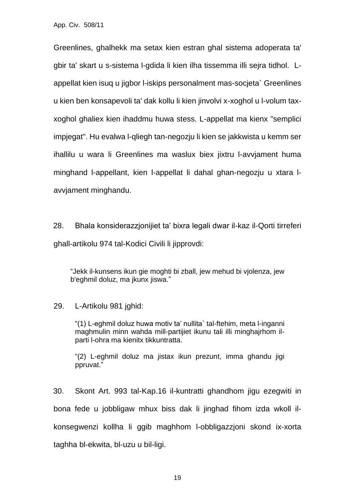Greenlines, ghalhekk ma setax kien estran ghal sistema adoperata ta' gbir ta' skart u s-sistema l-gdida li kien ilha tissemma illi sejra tidhol. Lappellat kien isuq u jigbor l-iskips personalment mas-socjeta` Greenlines u kien ben konsapevoli ta' dak kollu li kien jinvolvi x-xoghol u l-volum taxxoghol ghaliex kien ihaddmu huwa stess. L-appellat ma kienx "semplici impjegat". Hu evalwa l-qliegh tan-negozju li kien se jakkwista u kemm ser ihallilu u wara li Greenlines ma waslux biex jixtru l-avvjament huma minghand l-appellant, kien l-appellat li dahal ghan-negozju u xtara lavvjament minghandu.

28. Bhala konsiderazzjonijiet ta' bixra legali dwar il-kaz il-Qorti tirreferi ghall-artikolu 974 tal-Kodici Civili li jipprovdi:

"Jekk il-kunsens ikun gie moghti bi zball, jew mehud bi vjolenza, jew b'eghmil doluz, ma jkunx jiswa."

29. L-Artikolu 981 jghid:

"(1) L-eghmil doluz huwa motiv ta' nullita` tal-ftehim, meta l-inganni maghmulin minn wahda mill-partijiet ikunu tali illi minghajrhom ilparti l-ohra ma kienitx tikkuntratta.

"(2) L-eghmil doluz ma jistax ikun prezunt, imma ghandu jigi ppruvat."

30. Skont Art. 993 tal-Kap.16 il-kuntratti ghandhom jigu ezegwiti in bona fede u jobbligaw mhux biss dak li jinghad fihom izda wkoll ilkonsegwenzi kollha li ggib maghhom l-obbligazzjoni skond ix-xorta taghha bl-ekwita, bl-uzu u bil-ligi.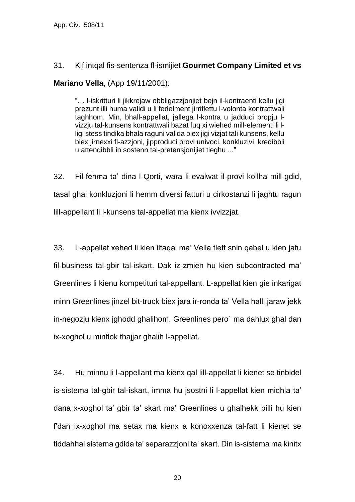### 31. Kif intqal fis-sentenza fl-ismijiet **Gourmet Company Limited et vs**

**Mariano Vella**, (App 19/11/2001):

"… l-iskritturi li jikkrejaw obbligazzjonjiet bejn il-kontraenti kellu jigi prezunt illi huma validi u li fedelment jirriflettu l-volonta kontrattwali taghhom. Min, bhall-appellat, jallega l-kontra u jadduci propju lvizzju tal-kunsens kontrattwali bazat fuq xi wiehed mill-elementi li lligi stess tindika bhala raguni valida biex jigi vizjat tali kunsens, kellu biex jirnexxi fl-azzjoni, jipproduci provi univoci, konkluzivi, kredibbli u attendibbli in sostenn tal-pretensjonijiet tieghu ..."

32. Fil-fehma ta' dina l-Qorti, wara li evalwat il-provi kollha mill-gdid, tasal ghal konkluzjoni li hemm diversi fatturi u cirkostanzi li jaghtu ragun lill-appellant li l-kunsens tal-appellat ma kienx ivvizzjat.

33. L-appellat xehed li kien iltaqa' ma' Vella tlett snin qabel u kien jafu fil-business tal-gbir tal-iskart. Dak iz-zmien hu kien subcontracted ma' Greenlines li kienu kompetituri tal-appellant. L-appellat kien gie inkarigat minn Greenlines jinzel bit-truck biex jara ir-ronda ta' Vella halli jaraw jekk in-negozju kienx jghodd ghalihom. Greenlines pero` ma dahlux ghal dan ix-xoghol u minflok thajjar ghalih l-appellat.

34. Hu minnu li l-appellant ma kienx qal lill-appellat li kienet se tinbidel is-sistema tal-gbir tal-iskart, imma hu jsostni li l-appellat kien midhla ta' dana x-xoghol ta' gbir ta' skart ma' Greenlines u ghalhekk billi hu kien f'dan ix-xoghol ma setax ma kienx a konoxxenza tal-fatt li kienet se tiddahhal sistema gdida ta' separazzjoni ta' skart. Din is-sistema ma kinitx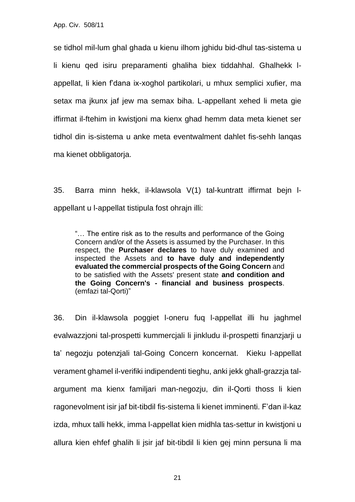se tidhol mil-lum ghal ghada u kienu ilhom jghidu bid-dhul tas-sistema u li kienu qed isiru preparamenti ghaliha biex tiddahhal. Ghalhekk lappellat, li kien f'dana ix-xoghol partikolari, u mhux semplici xufier, ma setax ma jkunx jaf jew ma semax biha. L-appellant xehed li meta gie iffirmat il-ftehim in kwistjoni ma kienx ghad hemm data meta kienet ser tidhol din is-sistema u anke meta eventwalment dahlet fis-sehh lanqas ma kienet obbligatorja.

35. Barra minn hekk, il-klawsola V(1) tal-kuntratt iffirmat bejn lappellant u l-appellat tistipula fost ohrajn illi:

"… The entire risk as to the results and performance of the Going Concern and/or of the Assets is assumed by the Purchaser. In this respect, the **Purchaser declares** to have duly examined and inspected the Assets and **to have duly and independently evaluated the commercial prospects of the Going Concern** and to be satisfied with the Assets' present state **and condition and the Going Concern's - financial and business prospects**. (emfazi tal-Qorti)"

36. Din il-klawsola poggiet l-oneru fuq l-appellat illi hu jaghmel evalwazzjoni tal-prospetti kummercjali li jinkludu il-prospetti finanzjarji u ta' negozju potenzjali tal-Going Concern koncernat. Kieku l-appellat verament ghamel il-verifiki indipendenti tieghu, anki jekk ghall-grazzja talargument ma kienx familjari man-negozju, din il-Qorti thoss li kien ragonevolment isir jaf bit-tibdil fis-sistema li kienet imminenti. F'dan il-kaz izda, mhux talli hekk, imma l-appellat kien midhla tas-settur in kwistjoni u allura kien ehfef ghalih li jsir jaf bit-tibdil li kien gej minn persuna li ma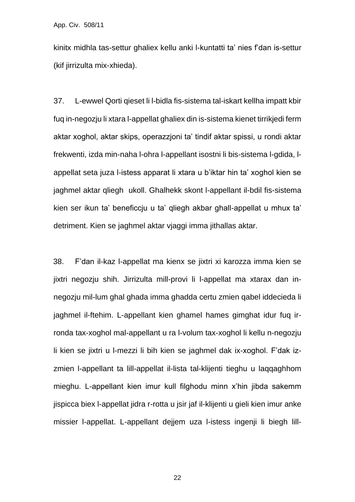kinitx midhla tas-settur ghaliex kellu anki l-kuntatti ta' nies f'dan is-settur (kif jirrizulta mix-xhieda).

37. L-ewwel Qorti qieset li l-bidla fis-sistema tal-iskart kellha impatt kbir fuq in-negozju li xtara l-appellat ghaliex din is-sistema kienet tirrikjedi ferm aktar xoghol, aktar skips, operazzjoni ta' tindif aktar spissi, u rondi aktar frekwenti, izda min-naha l-ohra l-appellant isostni li bis-sistema l-gdida, lappellat seta juza l-istess apparat li xtara u b'iktar hin ta' xoghol kien se jaghmel aktar qliegh ukoll. Ghalhekk skont l-appellant il-bdil fis-sistema kien ser ikun ta' beneficcju u ta' qliegh akbar ghall-appellat u mhux ta' detriment. Kien se jaghmel aktar vjaggi imma jithallas aktar.

38. F'dan il-kaz l-appellat ma kienx se jixtri xi karozza imma kien se jixtri negozju shih. Jirrizulta mill-provi li l-appellat ma xtarax dan innegozju mil-lum ghal ghada imma ghadda certu zmien qabel iddecieda li jaghmel il-ftehim. L-appellant kien ghamel hames gimghat idur fuq irronda tax-xoghol mal-appellant u ra l-volum tax-xoghol li kellu n-negozju li kien se jixtri u l-mezzi li bih kien se jaghmel dak ix-xoghol. F'dak izzmien I-appellant ta lill-appellat il-lista tal-kliienti tieghu u laqqaqhhom mieghu. L-appellant kien imur kull filghodu minn x'hin jibda sakemm jispicca biex l-appellat jidra r-rotta u jsir jaf il-klijenti u gieli kien imur anke missier l-appellat. L-appellant dejjem uza l-istess ingenji li biegh lill-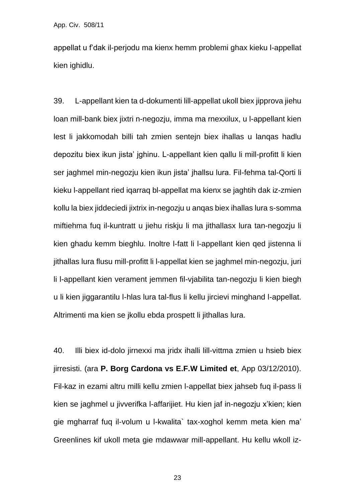appellat u f'dak il-perjodu ma kienx hemm problemi ghax kieku l-appellat kien ighidlu.

39. L-appellant kien ta d-dokumenti lill-appellat ukoll biex jipprova jiehu loan mill-bank biex jixtri n-negozju, imma ma rnexxilux, u l-appellant kien lest li jakkomodah billi tah zmien sentejn biex ihallas u lanqas hadlu depozitu biex ikun jista' jghinu. L-appellant kien qallu li mill-profitt li kien ser jaghmel min-negozju kien ikun jista' jhallsu lura. Fil-fehma tal-Qorti li kieku l-appellant ried iqarraq bl-appellat ma kienx se jaghtih dak iz-zmien kollu la biex jiddeciedi jixtrix in-negozju u anqas biex ihallas lura s-somma miftiehma fuq il-kuntratt u jiehu riskju li ma jithallasx lura tan-negozju li kien ghadu kemm bieghlu. Inoltre l-fatt li l-appellant kien qed jistenna li jithallas lura flusu mill-profitt li l-appellat kien se jaghmel min-negozju, juri li l-appellant kien verament jemmen fil-vjabilita tan-negozju li kien biegh u li kien jiggarantilu l-hlas lura tal-flus li kellu jircievi minghand l-appellat. Altrimenti ma kien se jkollu ebda prospett li jithallas lura.

40. Illi biex id-dolo jirnexxi ma jridx ihalli lill-vittma zmien u hsieb biex jirresisti. (ara **P. Borg Cardona vs E.F.W Limited et**, App 03/12/2010). Fil-kaz in ezami altru milli kellu zmien l-appellat biex jahseb fuq il-pass li kien se jaghmel u jivverifka l-affarijiet. Hu kien jaf in-negozju x'kien; kien gie mgharraf fuq il-volum u l-kwalita` tax-xoghol kemm meta kien ma' Greenlines kif ukoll meta gie mdawwar mill-appellant. Hu kellu wkoll iz-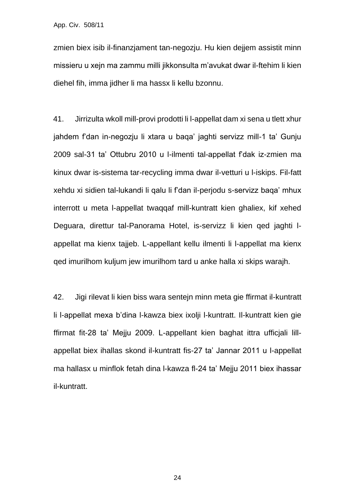zmien biex isib il-finanzjament tan-negozju. Hu kien dejjem assistit minn missieru u xejn ma zammu milli jikkonsulta m'avukat dwar il-ftehim li kien diehel fih, imma jidher li ma hassx li kellu bzonnu.

41. Jirrizulta wkoll mill-provi prodotti li l-appellat dam xi sena u tlett xhur jahdem f'dan in-negozju li xtara u baqa' jaghti servizz mill-1 ta' Gunju 2009 sal-31 ta' Ottubru 2010 u l-ilmenti tal-appellat f'dak iz-zmien ma kinux dwar is-sistema tar-recycling imma dwar il-vetturi u l-iskips. Fil-fatt xehdu xi sidien tal-lukandi li qalu li f'dan il-perjodu s-servizz baqa' mhux interrott u meta l-appellat twaqqaf mill-kuntratt kien ghaliex, kif xehed Deguara, direttur tal-Panorama Hotel, is-servizz li kien qed jaghti lappellat ma kienx tajjeb. L-appellant kellu ilmenti li l-appellat ma kienx qed imurilhom kuljum jew imurilhom tard u anke halla xi skips warajh.

42. Jigi rilevat li kien biss wara sentejn minn meta gie ffirmat il-kuntratt li l-appellat mexa b'dina l-kawza biex ixolji l-kuntratt. Il-kuntratt kien gie ffirmat fit-28 ta' Mejju 2009. L-appellant kien baghat ittra ufficjali lillappellat biex ihallas skond il-kuntratt fis-27 ta' Jannar 2011 u l-appellat ma hallasx u minflok fetah dina l-kawza fl-24 ta' Mejju 2011 biex ihassar il-kuntratt.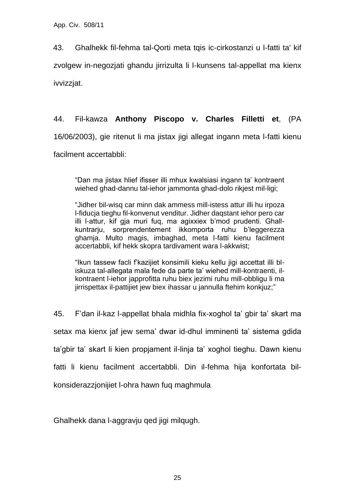43. Ghalhekk fil-fehma tal-Qorti meta tqis ic-cirkostanzi u l-fatti ta' kif zvolgew in-negozjati ghandu jirrizulta li l-kunsens tal-appellat ma kienx ivvizzjat.

## 44. Fil-kawza **Anthony Piscopo v. Charles Filletti et**, (PA

16/06/2003), gie ritenut li ma jistax jigi allegat ingann meta l-fatti kienu

facilment accertabbli:

"Dan ma jistax hlief ifisser illi mhux kwalsiasi ingann ta' kontraent wiehed ghad-dannu tal-iehor jammonta ghad-dolo rikjest mil-ligi;

"Jidher bil-wisq car minn dak ammess mill-istess attur illi hu irpoza l-fiducja tieghu fil-konvenut venditur. Jidher daqstant iehor pero car illi l-attur, kif gja muri fuq, ma agixxiex b'mod prudenti. Ghallkuntrarju, sorprendentement ikkomporta ruhu b'leggerezza ghamja. Multo magis, imbaghad, meta l-fatti kienu facilment accertabbli, kif hekk skopra tardivament wara l-akkwist;

"Ikun tassew facli f'kazijiet konsimili kieku kellu jigi accettat illi bliskuza tal-allegata mala fede da parte ta' wiehed mill-kontraenti, ilkontraent l-iehor japprofitta ruhu biex jezimi ruhu mill-obbligu li ma jirrispettax il-pattijiet jew biex ihassar u jannulla ftehim konkjuz;"

45. F'dan il-kaz l-appellat bhala midhla fix-xoghol ta' gbir ta' skart ma setax ma kienx jaf jew sema' dwar id-dhul imminenti ta' sistema gdida ta'gbir ta' skart li kien propjament il-linja ta' xoghol tieghu. Dawn kienu fatti li kienu facilment accertabbli. Din il-fehma hija konfortata bilkonsiderazzjonijiet l-ohra hawn fuq maghmula

Ghalhekk dana l-aggravju qed jigi milqugh.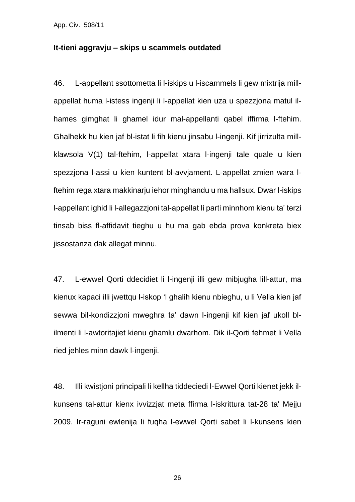#### **It-tieni aggravju – skips u scammels outdated**

46. L-appellant ssottometta li l-iskips u l-iscammels li gew mixtrija millappellat huma l-istess ingenji li l-appellat kien uza u spezzjona matul ilhames gimghat li ghamel idur mal-appellanti qabel iffirma l-ftehim. Ghalhekk hu kien jaf bl-istat li fih kienu jinsabu l-ingenji. Kif jirrizulta millklawsola V(1) tal-ftehim, l-appellat xtara l-ingenji tale quale u kien spezzjona l-assi u kien kuntent bl-avvjament. L-appellat zmien wara lftehim rega xtara makkinarju iehor minghandu u ma hallsux. Dwar l-iskips l-appellant ighid li l-allegazzjoni tal-appellat li parti minnhom kienu ta' terzi tinsab biss fl-affidavit tieghu u hu ma gab ebda prova konkreta biex jissostanza dak allegat minnu.

47. L-ewwel Qorti ddecidiet li l-ingenji illi gew mibjugha lill-attur, ma kienux kapaci illi jwettqu l-iskop 'l ghalih kienu nbieghu, u li Vella kien jaf sewwa bil-kondizzjoni mweghra ta' dawn l-ingenji kif kien jaf ukoll blilmenti li l-awtoritajiet kienu ghamlu dwarhom. Dik il-Qorti fehmet li Vella ried jehles minn dawk l-ingenji.

48. Illi kwistjoni principali li kellha tiddeciedi l-Ewwel Qorti kienet jekk ilkunsens tal-attur kienx ivvizzjat meta ffirma l-iskrittura tat-28 ta' Mejju 2009. Ir-raguni ewlenija li fuqha l-ewwel Qorti sabet li l-kunsens kien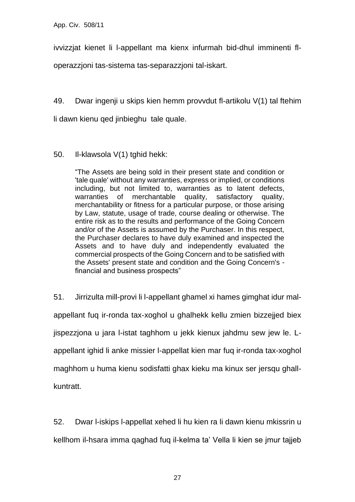ivvizzjat kienet li l-appellant ma kienx infurmah bid-dhul imminenti fl-

operazzjoni tas-sistema tas-separazzjoni tal-iskart.

49. Dwar ingenji u skips kien hemm provvdut fl-artikolu V(1) tal ftehim

li dawn kienu qed jinbieghu tale quale.

### 50. Il-klawsola V(1) tghid hekk:

"The Assets are being sold in their present state and condition or 'tale quale' without any warranties, express or implied, or conditions including, but not limited to, warranties as to latent defects, warranties of merchantable quality, satisfactory quality, merchantability or fitness for a particular purpose, or those arising by Law, statute, usage of trade, course dealing or otherwise. The entire risk as to the results and performance of the Going Concern and/or of the Assets is assumed by the Purchaser. In this respect, the Purchaser declares to have duly examined and inspected the Assets and to have duly and independently evaluated the commercial prospects of the Going Concern and to be satisfied with the Assets' present state and condition and the Going Concern's financial and business prospects"

51. Jirrizulta mill-provi li l-appellant ghamel xi hames gimghat idur malappellant fuq ir-ronda tax-xoghol u ghalhekk kellu zmien bizzejjed biex jispezzjona u jara l-istat taghhom u jekk kienux jahdmu sew jew le. Lappellant ighid li anke missier l-appellat kien mar fuq ir-ronda tax-xoghol maghhom u huma kienu sodisfatti ghax kieku ma kinux ser jersqu ghallkuntratt.

52. Dwar l-iskips l-appellat xehed li hu kien ra li dawn kienu mkissrin u kellhom il-hsara imma qaghad fuq il-kelma ta' Vella li kien se jmur tajjeb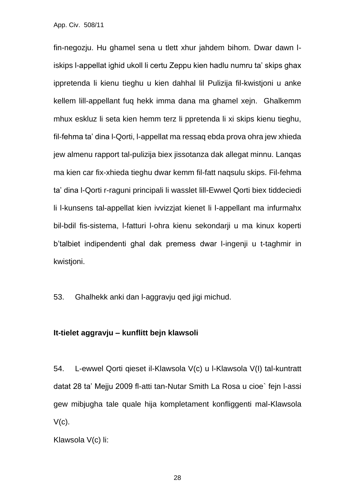fin-negozju. Hu ghamel sena u tlett xhur jahdem bihom. Dwar dawn liskips l-appellat ighid ukoll li certu Zeppu kien hadlu numru ta' skips ghax ippretenda li kienu tieghu u kien dahhal lil Pulizija fil-kwistjoni u anke kellem lill-appellant fuq hekk imma dana ma ghamel xejn. Ghalkemm mhux eskluz li seta kien hemm terz li ppretenda li xi skips kienu tieghu, fil-fehma ta' dina l-Qorti, l-appellat ma ressaq ebda prova ohra jew xhieda jew almenu rapport tal-pulizija biex jissotanza dak allegat minnu. Lanqas ma kien car fix-xhieda tieghu dwar kemm fil-fatt naqsulu skips. Fil-fehma ta' dina l-Qorti r-raguni principali li wasslet lill-Ewwel Qorti biex tiddeciedi li l-kunsens tal-appellat kien ivvizzjat kienet li l-appellant ma infurmahx bil-bdil fis-sistema, l-fatturi l-ohra kienu sekondarji u ma kinux koperti b'talbiet indipendenti ghal dak premess dwar l-ingenji u t-taghmir in kwistjoni.

53. Ghalhekk anki dan l-aggravju qed jigi michud.

#### **It-tielet aggravju – kunflitt bejn klawsoli**

54. L-ewwel Qorti qieset il-Klawsola V(c) u l-Klawsola V(I) tal-kuntratt datat 28 ta' Mejju 2009 fl-atti tan-Nutar Smith La Rosa u cioe` fejn l-assi gew mibjugha tale quale hija kompletament konfliggenti mal-Klawsola  $V(c)$ .

Klawsola V(c) li: